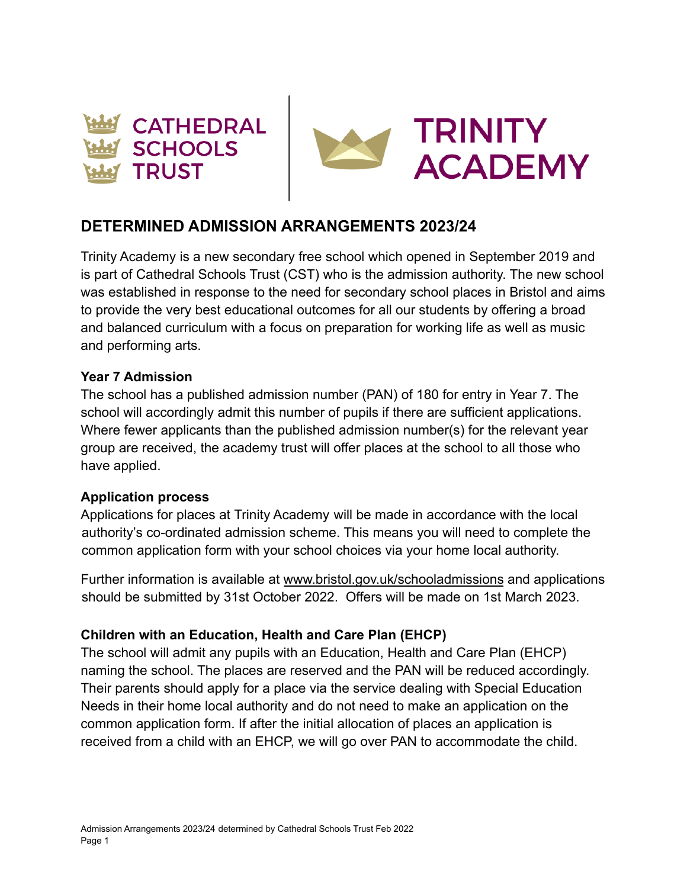



# **DETERMINED ADMISSION ARRANGEMENTS 2023/24**

Trinity Academy is a new secondary free school which opened in September 2019 and is part of Cathedral Schools Trust (CST) who is the admission authority. The new school was established in response to the need for secondary school places in Bristol and aims to provide the very best educational outcomes for all our students by offering a broad and balanced curriculum with a focus on preparation for working life as well as music and performing arts.

#### **Year 7 Admission**

The school has a published admission number (PAN) of 180 for entry in Year 7. The school will accordingly admit this number of pupils if there are sufficient applications. Where fewer applicants than the published admission number(s) for the relevant year group are received, the academy trust will offer places at the school to all those who have applied.

#### **Application process**

Applications for places at Trinity Academy will be made in accordance with the local authority's co-ordinated admission scheme. This means you will need to complete the common application form with your school choices via your home local authority.

Further information is available at [www.bristol.gov.uk/schooladmissions](http://www.bristol.gov.uk/schooladmissions) and applications should be submitted by 31st October 2022. Offers will be made on 1st March 2023.

#### **Children with an Education, Health and Care Plan (EHCP)**

The school will admit any pupils with an Education, Health and Care Plan (EHCP) naming the school. The places are reserved and the PAN will be reduced accordingly. Their parents should apply for a place via the service dealing with Special Education Needs in their home local authority and do not need to make an application on the common application form. If after the initial allocation of places an application is received from a child with an EHCP, we will go over PAN to accommodate the child.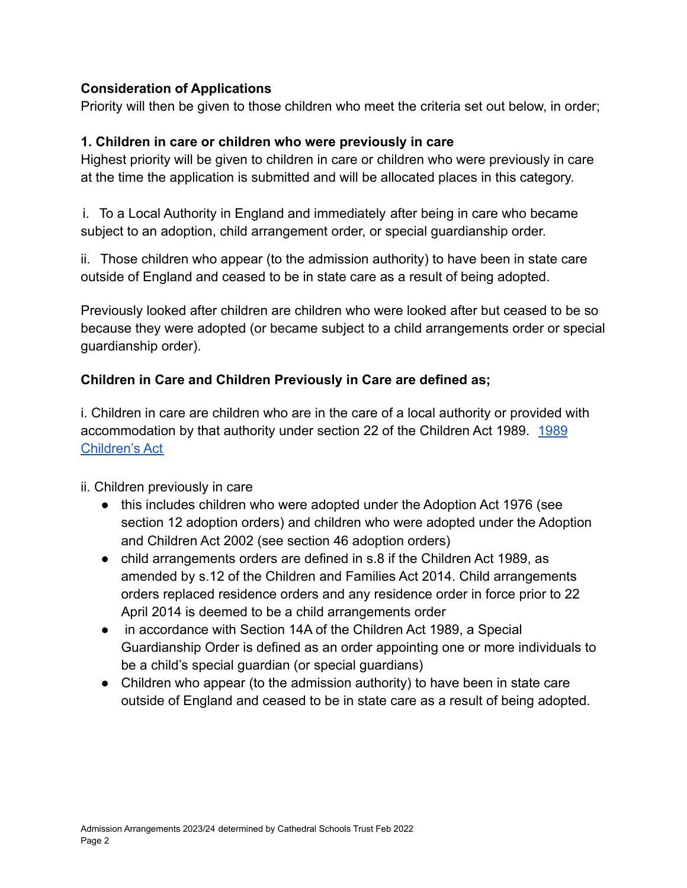### **Consideration of Applications**

Priority will then be given to those children who meet the criteria set out below, in order;

### **1. Children in care or children who were previously in care**

Highest priority will be given to children in care or children who were previously in care at the time the application is submitted and will be allocated places in this category.

i. To a Local Authority in England and immediately after being in care who became subject to an adoption, child arrangement order, or special guardianship order.

ii. Those children who appear (to the admission authority) to have been in state care outside of England and ceased to be in state care as a result of being adopted.

Previously looked after children are children who were looked after but ceased to be so because they were adopted (or became subject to a child arrangements order or special guardianship order).

# **Children in Care and Children Previously in Care are defined as;**

i. Children in care are children who are in the care of a local authority or provided with accommodation by that authority under section 22 of the Children Act [1989](https://www.legislation.gov.uk/ukpga/1989/41/contents). 1989 [Children's Act](https://www.legislation.gov.uk/ukpga/1989/41/contents)

#### ii. Children previously in care

- this includes children who were adopted under the Adoption Act 1976 (see section 12 adoption orders) and children who were adopted under the Adoption and Children Act 2002 (see section 46 adoption orders)
- child arrangements orders are defined in s.8 if the Children Act 1989, as amended by s.12 of the Children and Families Act 2014. Child arrangements orders replaced residence orders and any residence order in force prior to 22 April 2014 is deemed to be a child arrangements order
- in accordance with Section 14A of the Children Act 1989, a Special Guardianship Order is defined as an order appointing one or more individuals to be a child's special guardian (or special guardians)
- Children who appear (to the admission authority) to have been in state care outside of England and ceased to be in state care as a result of being adopted.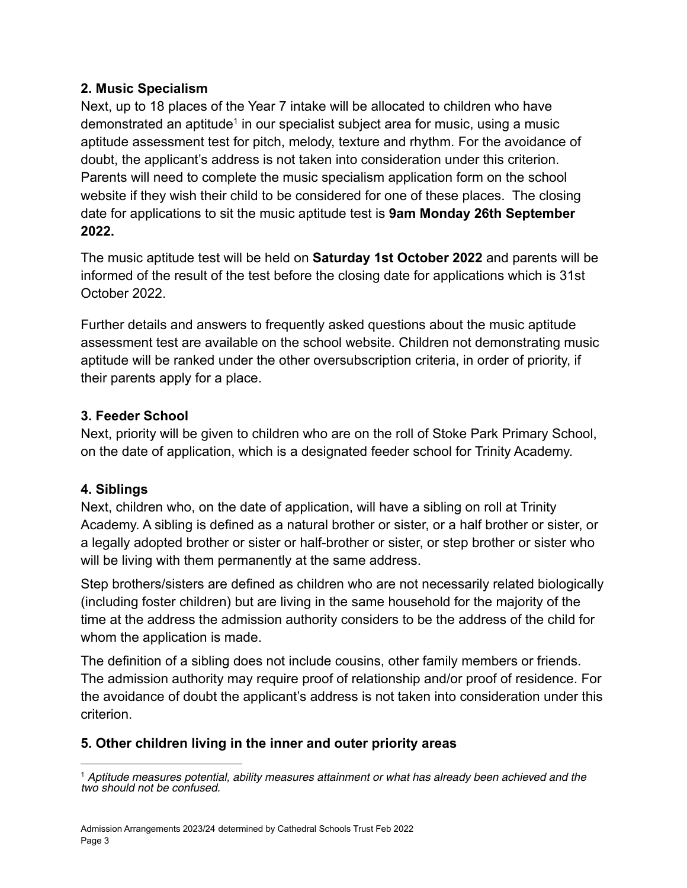#### **2. Music Specialism**

Next, up to 18 places of the Year 7 intake will be allocated to children who have demonstrated an aptitude<sup>1</sup> in our specialist subject area for music, using a music aptitude assessment test for pitch, melody, texture and rhythm. For the avoidance of doubt, the applicant's address is not taken into consideration under this criterion. Parents will need to complete the music specialism application form on the school website if they wish their child to be considered for one of these places. The closing date for applications to sit the music aptitude test is **9am Monday 26th September 2022.**

The music aptitude test will be held on **Saturday 1st October 2022** and parents will be informed of the result of the test before the closing date for applications which is 31st October 2022.

Further details and answers to frequently asked questions about the music aptitude assessment test are available on the school website. Children not demonstrating music aptitude will be ranked under the other oversubscription criteria, in order of priority, if their parents apply for a place.

# **3. Feeder School**

Next, priority will be given to children who are on the roll of Stoke Park Primary School, on the date of application, which is a designated feeder school for Trinity Academy.

# **4. Siblings**

Next, children who, on the date of application, will have a sibling on roll at Trinity Academy. A sibling is defined as a natural brother or sister, or a half brother or sister, or a legally adopted brother or sister or half-brother or sister, or step brother or sister who will be living with them permanently at the same address.

Step brothers/sisters are defined as children who are not necessarily related biologically (including foster children) but are living in the same household for the majority of the time at the address the admission authority considers to be the address of the child for whom the application is made.

The definition of a sibling does not include cousins, other family members or friends. The admission authority may require proof of relationship and/or proof of residence. For the avoidance of doubt the applicant's address is not taken into consideration under this criterion.

# **5. Other children living in the inner and outer priority areas**

 $<sup>1</sup>$  Aptitude measures potential, ability measures attainment or what has already been achieved and the</sup> two should not be confused.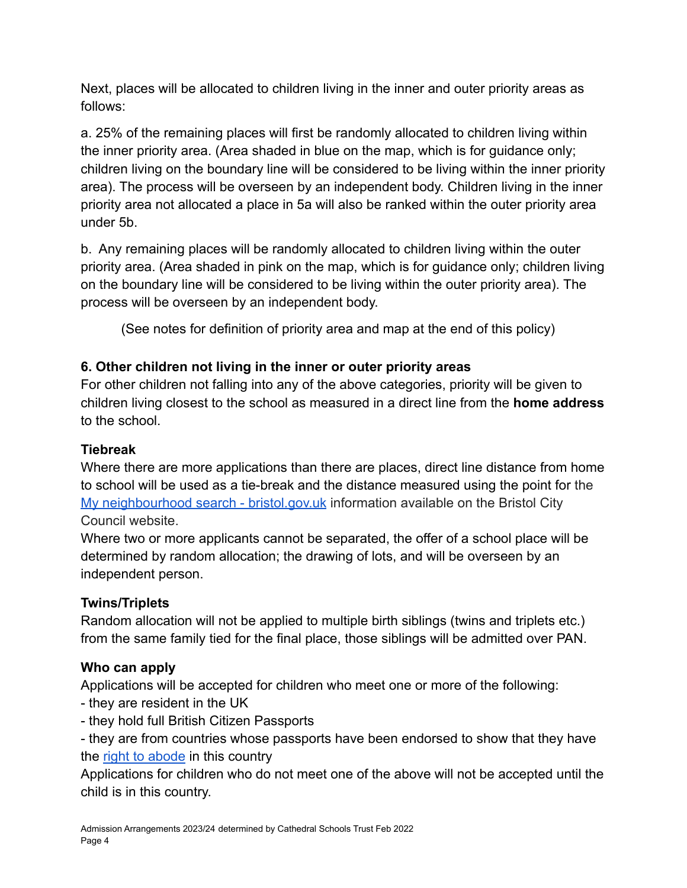Next, places will be allocated to children living in the inner and outer priority areas as follows:

a. 25% of the remaining places will first be randomly allocated to children living within the inner priority area. (Area shaded in blue on the map, which is for guidance only; children living on the boundary line will be considered to be living within the inner priority area). The process will be overseen by an independent body. Children living in the inner priority area not allocated a place in 5a will also be ranked within the outer priority area under 5b.

b. Any remaining places will be randomly allocated to children living within the outer priority area. (Area shaded in pink on the map, which is for guidance only; children living on the boundary line will be considered to be living within the outer priority area). The process will be overseen by an independent body.

(See notes for definition of priority area and map at the end of this policy)

# **6. Other children not living in the inner or outer priority areas**

For other children not falling into any of the above categories, priority will be given to children living closest to the school as measured in a direct line from the **home address** to the school.

# **Tiebreak**

Where there are more applications than there are places, direct line distance from home to school will be used as a tie-break and the distance measured using the point for the [My neighbourhood search - bristol.gov.uk](https://www.bristol.gov.uk/people-communities/my-neighbourhood-search) information available on the Bristol City Council website.

Where two or more applicants cannot be separated, the offer of a school place will be determined by random allocation; the drawing of lots, and will be overseen by an independent person.

# **Twins/Triplets**

Random allocation will not be applied to multiple birth siblings (twins and triplets etc.) from the same family tied for the final place, those siblings will be admitted over PAN.

# **Who can apply**

Applications will be accepted for children who meet one or more of the following:

- they are resident in the UK
- they hold full British Citizen Passports
- they are from countries whose passports have been endorsed to show that they have the [right to abode](https://www.gov.uk/right-of-abode) in this country

Applications for children who do not meet one of the above will not be accepted until the child is in this country.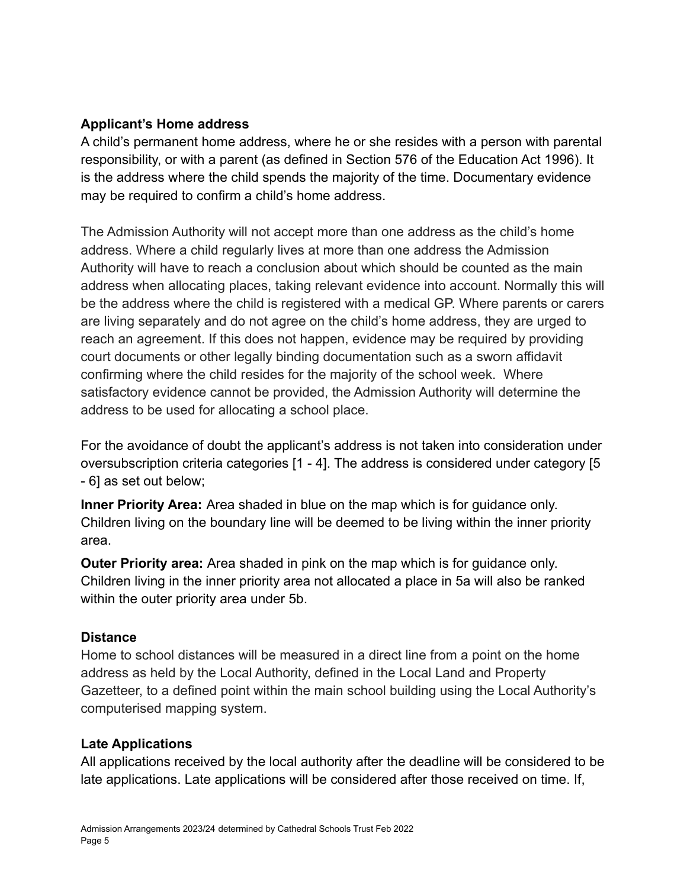#### **Applicant's Home address**

A child's permanent home address, where he or she resides with a person with parental responsibility, or with a parent (as defined in Section 576 of the Education Act 1996). It is the address where the child spends the majority of the time. Documentary evidence may be required to confirm a child's home address.

The Admission Authority will not accept more than one address as the child's home address. Where a child regularly lives at more than one address the Admission Authority will have to reach a conclusion about which should be counted as the main address when allocating places, taking relevant evidence into account. Normally this will be the address where the child is registered with a medical GP. Where parents or carers are living separately and do not agree on the child's home address, they are urged to reach an agreement. If this does not happen, evidence may be required by providing court documents or other legally binding documentation such as a sworn affidavit confirming where the child resides for the majority of the school week. Where satisfactory evidence cannot be provided, the Admission Authority will determine the address to be used for allocating a school place.

For the avoidance of doubt the applicant's address is not taken into consideration under oversubscription criteria categories [1 - 4]. The address is considered under category [5 - 6] as set out below;

**Inner Priority Area:** Area shaded in blue on the map which is for guidance only. Children living on the boundary line will be deemed to be living within the inner priority area.

**Outer Priority area:** Area shaded in pink on the map which is for guidance only. Children living in the inner priority area not allocated a place in 5a will also be ranked within the outer priority area under 5b.

#### **Distance**

Home to school distances will be measured in a direct line from a point on the home address as held by the Local Authority, defined in the Local Land and Property Gazetteer, to a defined point within the main school building using the Local Authority's computerised mapping system.

#### **Late Applications**

All applications received by the local authority after the deadline will be considered to be late applications. Late applications will be considered after those received on time. If,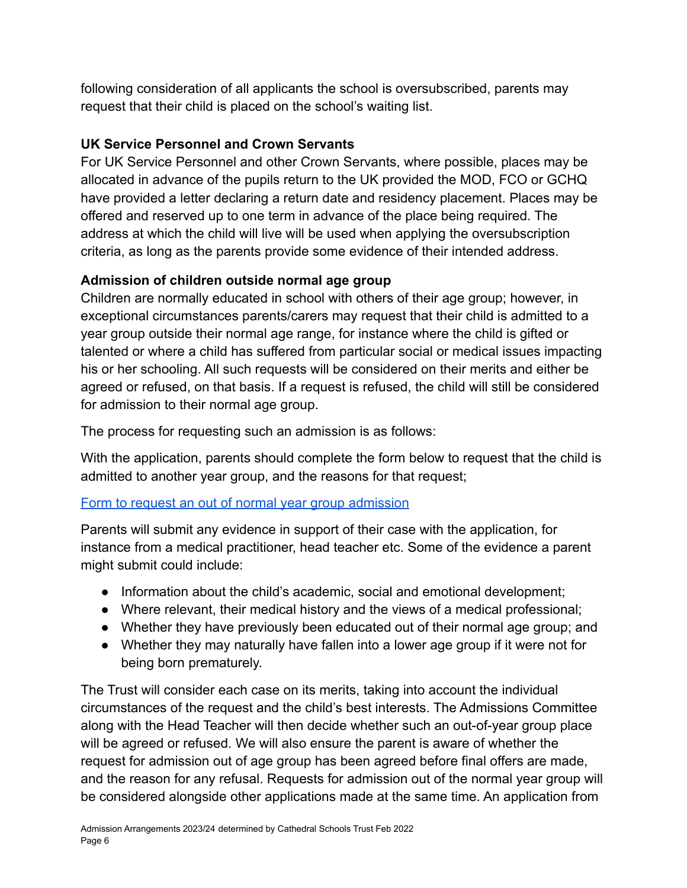following consideration of all applicants the school is oversubscribed, parents may request that their child is placed on the school's waiting list.

### **UK Service Personnel and Crown Servants**

For UK Service Personnel and other Crown Servants, where possible, places may be allocated in advance of the pupils return to the UK provided the MOD, FCO or GCHQ have provided a letter declaring a return date and residency placement. Places may be offered and reserved up to one term in advance of the place being required. The address at which the child will live will be used when applying the oversubscription criteria, as long as the parents provide some evidence of their intended address.

# **Admission of children outside normal age group**

Children are normally educated in school with others of their age group; however, in exceptional circumstances parents/carers may request that their child is admitted to a year group outside their normal age range, for instance where the child is gifted or talented or where a child has suffered from particular social or medical issues impacting his or her schooling. All such requests will be considered on their merits and either be agreed or refused, on that basis. If a request is refused, the child will still be considered for admission to their normal age group.

The process for requesting such an admission is as follows:

With the application, parents should complete the form below to request that the child is admitted to another year group, and the reasons for that request;

#### [Form to request an out of normal year group admission](https://docs.google.com/document/d/1UGfY-tnKp-wIyJe_lLbjmbPwefS8p2DP/edit?usp=sharing&ouid=111971969837556975984&rtpof=true&sd=true)

Parents will submit any evidence in support of their case with the application, for instance from a medical practitioner, head teacher etc. Some of the evidence a parent might submit could include:

- Information about the child's academic, social and emotional development;
- Where relevant, their medical history and the views of a medical professional;
- Whether they have previously been educated out of their normal age group; and
- Whether they may naturally have fallen into a lower age group if it were not for being born prematurely.

The Trust will consider each case on its merits, taking into account the individual circumstances of the request and the child's best interests. The Admissions Committee along with the Head Teacher will then decide whether such an out-of-year group place will be agreed or refused. We will also ensure the parent is aware of whether the request for admission out of age group has been agreed before final offers are made, and the reason for any refusal. Requests for admission out of the normal year group will be considered alongside other applications made at the same time. An application from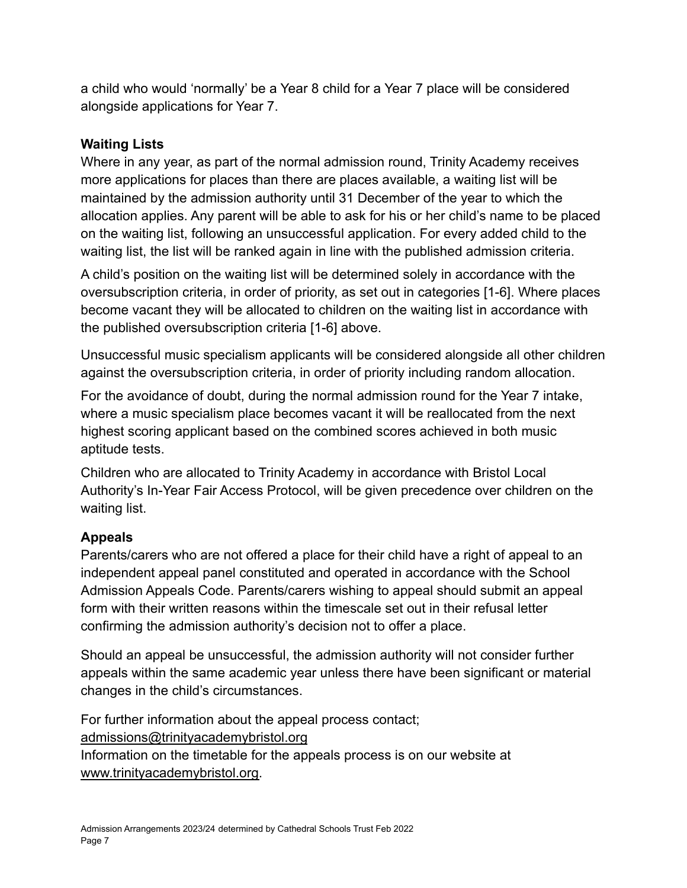a child who would 'normally' be a Year 8 child for a Year 7 place will be considered alongside applications for Year 7.

### **Waiting Lists**

Where in any year, as part of the normal admission round, Trinity Academy receives more applications for places than there are places available, a waiting list will be maintained by the admission authority until 31 December of the year to which the allocation applies. Any parent will be able to ask for his or her child's name to be placed on the waiting list, following an unsuccessful application. For every added child to the waiting list, the list will be ranked again in line with the published admission criteria.

A child's position on the waiting list will be determined solely in accordance with the oversubscription criteria, in order of priority, as set out in categories [1-6]. Where places become vacant they will be allocated to children on the waiting list in accordance with the published oversubscription criteria [1-6] above.

Unsuccessful music specialism applicants will be considered alongside all other children against the oversubscription criteria, in order of priority including random allocation.

For the avoidance of doubt, during the normal admission round for the Year 7 intake, where a music specialism place becomes vacant it will be reallocated from the next highest scoring applicant based on the combined scores achieved in both music aptitude tests.

Children who are allocated to Trinity Academy in accordance with Bristol Local Authority's In-Year Fair Access Protocol, will be given precedence over children on the waiting list.

# **Appeals**

Parents/carers who are not offered a place for their child have a right of appeal to an independent appeal panel constituted and operated in accordance with the School Admission Appeals Code. Parents/carers wishing to appeal should submit an appeal form with their written reasons within the timescale set out in their refusal letter confirming the admission authority's decision not to offer a place.

Should an appeal be unsuccessful, the admission authority will not consider further appeals within the same academic year unless there have been significant or material changes in the child's circumstances.

For further information about the appeal process contact; [admissions@trinityacademybristol.org](mailto:admissions@trinityacademybristol.org) Information on the timetable for the appeals process is on our website at [www.trinityacademybristol.org.](http://www.trinityacademybristol.org)